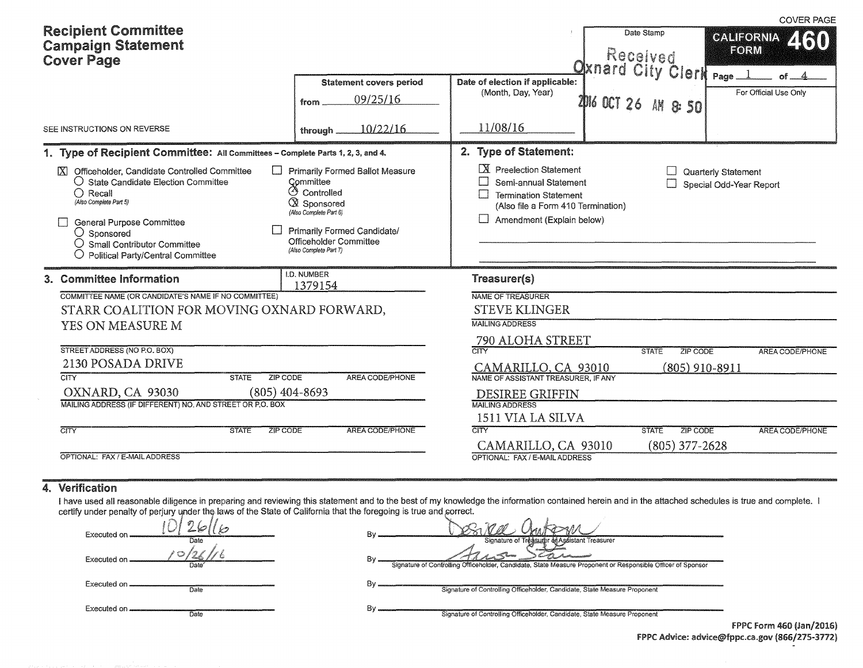|                                                                                                                                                                                                                                                                                                       |                                                                                                                                                                                                                      |                                                                                                                                                                        |                                                     | <b>COVER PAGE</b>                              |
|-------------------------------------------------------------------------------------------------------------------------------------------------------------------------------------------------------------------------------------------------------------------------------------------------------|----------------------------------------------------------------------------------------------------------------------------------------------------------------------------------------------------------------------|------------------------------------------------------------------------------------------------------------------------------------------------------------------------|-----------------------------------------------------|------------------------------------------------|
| <b>Recipient Committee</b><br><b>Campaign Statement</b><br><b>Cover Page</b>                                                                                                                                                                                                                          |                                                                                                                                                                                                                      |                                                                                                                                                                        | Date Stamp<br>Received<br>Oxnard City Clerk Page.   | <b>CALIFORNIA</b><br>2510<br>FORM              |
|                                                                                                                                                                                                                                                                                                       | <b>Statement covers period</b><br>09/25/16<br>from                                                                                                                                                                   | Date of election if applicable:<br>(Month, Day, Year)                                                                                                                  | <b>ZDI6 OCT 26</b><br>AM<br><b>8.50</b>             | For Official Use Only                          |
| SEE INSTRUCTIONS ON REVERSE                                                                                                                                                                                                                                                                           | 10/22/16<br>through.                                                                                                                                                                                                 | 11/08/16                                                                                                                                                               |                                                     |                                                |
| 1. Type of Recipient Committee: All Committees - Complete Parts 1, 2, 3, and 4.                                                                                                                                                                                                                       |                                                                                                                                                                                                                      | 2. Type of Statement:                                                                                                                                                  |                                                     |                                                |
| Officeholder, Candidate Controlled Committee<br>IXI<br>$\bigcirc$ State Candidate Election Committee<br>$\bigcap$ Recall<br>(Also Complete Part 5)<br><b>General Purpose Committee</b><br>$\bigcirc$ Sponsored<br><b>Small Contributor Committee</b><br>O<br><b>Political Party/Central Committee</b> | <b>Primarily Formed Ballot Measure</b><br>Committee<br><b>4</b> Controlled<br><b>X</b> Sponsored<br>(Also Complete Part 6)<br><b>Primarily Formed Candidate/</b><br>Officeholder Committee<br>(Also Complete Part 7) | $\boxed{\mathbf{X}}$ Preelection Statement<br>Semi-annual Statement<br><b>Termination Statement</b><br>(Also file a Form 410 Termination)<br>Amendment (Explain below) |                                                     | Quarterly Statement<br>Special Odd-Year Report |
| 3. Committee Information                                                                                                                                                                                                                                                                              | <b>I.D. NUMBER</b><br>1379154                                                                                                                                                                                        | Treasurer(s)                                                                                                                                                           |                                                     |                                                |
| COMMITTEE NAME (OR CANDIDATE'S NAME IF NO COMMITTEE)<br>STARR COALITION FOR MOVING OXNARD FORWARD,<br>YES ON MEASURE M                                                                                                                                                                                |                                                                                                                                                                                                                      | NAME OF TREASURER<br><b>STEVE KLINGER</b><br><b>MAILING ADDRESS</b>                                                                                                    |                                                     |                                                |
|                                                                                                                                                                                                                                                                                                       |                                                                                                                                                                                                                      | 790 ALOHA STREET                                                                                                                                                       |                                                     |                                                |
| STREET ADDRESS (NO P.O. BOX)<br>2130 POSADA DRIVE<br><b>CITY</b><br><b>ZIP CODE</b><br><b>STATE</b>                                                                                                                                                                                                   | AREA CODE/PHONE                                                                                                                                                                                                      | CAMARILLO, CA 93010<br>NAME OF ASSISTANT TREASURER, IF ANY                                                                                                             | <b>STATE</b><br>ZIP CODE<br>$(805)$ 910-8911        | <b>AREA CODE/PHONE</b>                         |
| OXNARD, CA 93030<br>$(805)$ 404-8693                                                                                                                                                                                                                                                                  |                                                                                                                                                                                                                      | <b>DESIREE GRIFFIN</b>                                                                                                                                                 |                                                     |                                                |
| MAILING ADDRESS (IF DIFFERENT) NO. AND STREET OR P.O. BOX                                                                                                                                                                                                                                             |                                                                                                                                                                                                                      | <b>MAILING ADDRESS</b><br>1511 VIA LA SILVA                                                                                                                            |                                                     |                                                |
| CITY<br><b>STATE</b><br><b>ZIP CODE</b>                                                                                                                                                                                                                                                               | AREA CODE/PHONE                                                                                                                                                                                                      | $\overline{\text{CITY}}$<br>CAMARILLO, CA 93010                                                                                                                        | <b>ZIP CODE</b><br><b>STATE</b><br>$(805)$ 377-2628 | <b>AREA CODE/PHONE</b>                         |
| OPTIONAL: FAX / E-MAIL ADDRESS                                                                                                                                                                                                                                                                        |                                                                                                                                                                                                                      | OPTIONAL: FAX / E-MAIL ADDRESS                                                                                                                                         |                                                     |                                                |
|                                                                                                                                                                                                                                                                                                       |                                                                                                                                                                                                                      |                                                                                                                                                                        |                                                     |                                                |

## 4. Verification

I have used all reasonable diligence in preparing and reviewing this statement and to the best of my knowledge the information contained herein and in the attached schedules is true and complete. certify under penalty of perjury under the laws of the State of California that the foregoing is true and correct.

| Executed on |                             | Bv                            |
|-------------|-----------------------------|-------------------------------|
|             | Date                        |                               |
| Executed on | مموريا<br>Date <sup>®</sup> | Βv<br>Signature of Controllin |
|             | Date                        | Bv<br><b>Sign</b>             |
| Executed on |                             | Bγ                            |
|             | <b>Date</b>                 | Sian                          |

|    | no rorogomg io mao ana son oor.                                                                             |
|----|-------------------------------------------------------------------------------------------------------------|
|    |                                                                                                             |
|    | Signature of Tréasurer of Assistant Treasurer                                                               |
|    |                                                                                                             |
| В١ | <b>COLOR</b> , <b>Management</b>                                                                            |
|    | Signature of Controlling Officeholder, Candidate, State Measure Proponent or Responsible Officer of Sponsor |
|    |                                                                                                             |
|    |                                                                                                             |
|    | Signature of Controlling Officeholder, Candidate, State Measure Proponent                                   |
|    |                                                                                                             |
|    |                                                                                                             |
|    |                                                                                                             |

Signature of Controlling Officeholder, Candidate, State Measure Proponent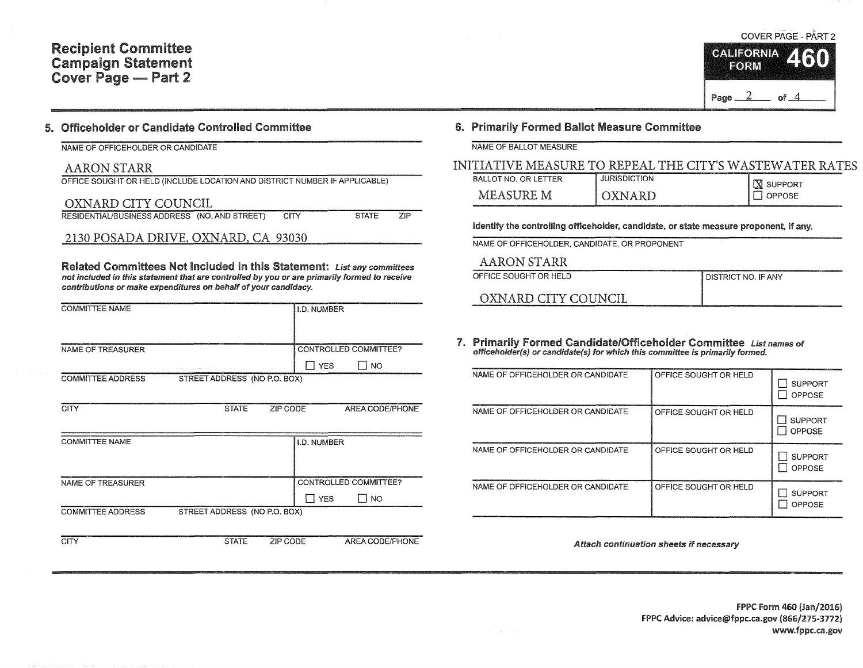#### 5. Officeholder or Candidate Controlled Committee

NAME OF OFFICEHOLDER OR CANDIDATE

#### AARON STARR

OFFICE SOUGHT OR HELD (INCLUDE LOCATION AND DISTRICT NUMBER IF APPLICABLE)

#### OXNARD CITY COUNCIL

| RESIDENTIAL/BUSINESS ADDRESS (NO. AND STREET) | <b>CITY</b> | <b>STATE</b> | ZIP ZIP |
|-----------------------------------------------|-------------|--------------|---------|
|                                               |             |              |         |
|                                               |             |              |         |
|                                               |             |              |         |

## 2130 POSADA DRIVE, OXNARD, CA 93030

Related Committees Not Included in this Statement: List any committees not included in this statement that are controlled by you or are primarily formed to receive contributions or make expenditures on behalf of your candidacy.

| <b>COMMITTEE NAME</b>    |                              | I.D. NUMBER             |                       |
|--------------------------|------------------------------|-------------------------|-----------------------|
|                          |                              |                         |                       |
| NAME OF TREASURER        |                              |                         | CONTROLLED COMMITTEE? |
|                          |                              | <b>YES</b>              | <b>NO</b>             |
| <b>COMMITTEE ADDRESS</b> | STREET ADDRESS (NO P.O. BOX) |                         |                       |
|                          |                              |                         |                       |
| <b>CITY</b>              | <b>STATE</b>                 | ZIP CODE                | AREA CODE/PHONE       |
|                          |                              |                         |                       |
| <b>COMMITTEE NAME</b>    |                              | I.D. NUMBER             |                       |
|                          |                              |                         |                       |
|                          |                              |                         |                       |
| NAME OF TREASURER        |                              |                         | CONTROLLED COMMITTEE? |
|                          |                              | <b>YES</b><br>$\cdot$ 1 | <b>NO</b>             |
| <b>COMMITTEE ADDRESS</b> | STREET ADDRESS (NO P.O. BOX) |                         |                       |
|                          |                              |                         |                       |
| <b>CITY</b>              | <b>STATE</b>                 | ZIP CODE                | AREA CODE/PHONE       |

COVER PAGE - PART 2 **CALIFORNIA** EORM

Page  $2$  of  $4$ 

## 6. Primarily Formed Ballot Measure Committee

NAME OF BALLOT MEASURE

| INITIATIVE MEASURE TO REPEAL THE CITY'S WASTEWATER RATES |               |  |
|----------------------------------------------------------|---------------|--|
| <b>BALLOT NO OD LETTED</b>                               | I IIRKNICTION |  |

| BALLOT NO. OR LETTER | <b>JURISDICTION</b> | <b>X</b> SUPPORT |
|----------------------|---------------------|------------------|
| MEASURE M            | OXNARD              | <b>OPPOSE</b>    |
|                      |                     |                  |

Identify the controlling officeholder, candidate, or state measure proponent, if any.

NAME OF OFFICEHOLDER, CANDIDATE, OR PROPONENT

AARON STARR

OFFICE SOUGHT OR HELD

| DISTRICT NO. IF ANY |  |  |  |
|---------------------|--|--|--|

OXNARD CITY COUNCIL

7. Primarily Formed Candidate/Officeholder Committee List names of offlceholder(s) or candidate(s) for which this committee is primarily formed.

| NAME OF OFFICEHOLDER OR CANDIDATE | OFFICE SOUGHT OR HELD | <b>SUPPORT</b><br>OPPOSE        |
|-----------------------------------|-----------------------|---------------------------------|
| NAME OF OFFICEHOLDER OR CANDIDATE | OFFICE SOUGHT OR HELD | <b>SUPPORT</b><br><b>OPPOSE</b> |
| NAME OF OFFICEHOLDER OR CANDIDATE | OFFICE SOUGHT OR HELD | <b>SUPPORT</b><br>OPPOSE        |
| NAME OF OFFICEHOLDER OR CANDIDATE | OFFICE SOUGHT OR HELD | <b>SUPPORT</b><br>OPPOSE        |

Attach continuation sheets if necessary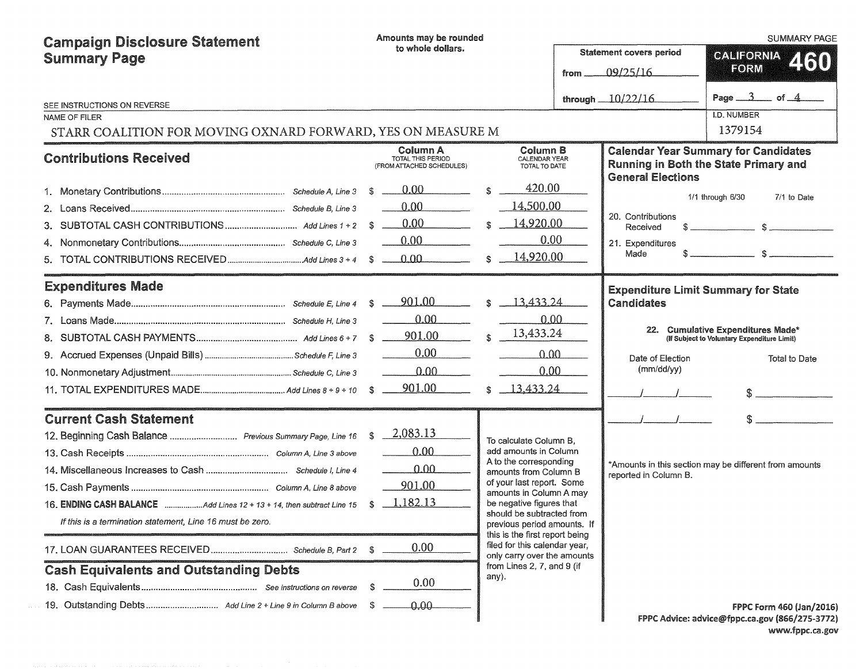| <b>Campaign Disclosure Statement</b>                                  |      | Amounts may be rounded                                            |  |                                                                                            |         |                                | <b>SUMMARY PAGE</b>                                                                                                                                                                                                                                                                                                                                                                                                                                                             |
|-----------------------------------------------------------------------|------|-------------------------------------------------------------------|--|--------------------------------------------------------------------------------------------|---------|--------------------------------|---------------------------------------------------------------------------------------------------------------------------------------------------------------------------------------------------------------------------------------------------------------------------------------------------------------------------------------------------------------------------------------------------------------------------------------------------------------------------------|
| <b>Summary Page</b>                                                   |      | to whole dollars.                                                 |  |                                                                                            |         | <b>Statement covers period</b> | <b>GALIFORNIA</b><br>460                                                                                                                                                                                                                                                                                                                                                                                                                                                        |
|                                                                       |      |                                                                   |  |                                                                                            | from __ | 09/25/16                       | FORM                                                                                                                                                                                                                                                                                                                                                                                                                                                                            |
| SEE INSTRUCTIONS ON REVERSE                                           |      |                                                                   |  |                                                                                            |         | through 10/22/16               | Page $3$ of $4$                                                                                                                                                                                                                                                                                                                                                                                                                                                                 |
| NAME OF FILER                                                         |      |                                                                   |  |                                                                                            |         |                                | <b>I.D. NUMBER</b>                                                                                                                                                                                                                                                                                                                                                                                                                                                              |
| STARR COALITION FOR MOVING OXNARD FORWARD, YES ON MEASURE M           |      |                                                                   |  |                                                                                            |         |                                | 1379154                                                                                                                                                                                                                                                                                                                                                                                                                                                                         |
| <b>Contributions Received</b>                                         |      | <b>Column A</b><br>TOTAL THIS PERIOD<br>(FROM ATTACHED SCHEDULES) |  | Column B<br>CALENDAR YEAR<br>TOTAL TO DATE                                                 |         | <b>General Elections</b>       | <b>Calendar Year Summary for Candidates</b><br>Running in Both the State Primary and                                                                                                                                                                                                                                                                                                                                                                                            |
|                                                                       | \$   | 0.00                                                              |  | 420.00                                                                                     |         |                                |                                                                                                                                                                                                                                                                                                                                                                                                                                                                                 |
|                                                                       |      | 0.00                                                              |  | 14,500.00                                                                                  |         |                                | 1/1 through 6/30<br>7/1 to Date                                                                                                                                                                                                                                                                                                                                                                                                                                                 |
|                                                                       | - \$ | 0.00                                                              |  | 14,920.00                                                                                  |         | 20. Contributions<br>Received  | $\mathbb{R}$                                                                                                                                                                                                                                                                                                                                                                                                                                                                    |
|                                                                       |      | 0.00                                                              |  | 0.00                                                                                       |         | 21. Expenditures               |                                                                                                                                                                                                                                                                                                                                                                                                                                                                                 |
| 5.                                                                    |      | 0.00                                                              |  | 14,920.00                                                                                  |         | \$<br>Made                     | $\overline{\phantom{a}}$ $\overline{\phantom{a}}$ $\overline{\phantom{a}}$ $\overline{\phantom{a}}$ $\overline{\phantom{a}}$ $\overline{\phantom{a}}$ $\overline{\phantom{a}}$ $\overline{\phantom{a}}$ $\overline{\phantom{a}}$ $\overline{\phantom{a}}$ $\overline{\phantom{a}}$ $\overline{\phantom{a}}$ $\overline{\phantom{a}}$ $\overline{\phantom{a}}$ $\overline{\phantom{a}}$ $\overline{\phantom{a}}$ $\overline{\phantom{a}}$ $\overline{\phantom{a}}$ $\overline{\$ |
| <b>Expenditures Made</b>                                              |      |                                                                   |  |                                                                                            |         |                                | <b>Expenditure Limit Summary for State</b>                                                                                                                                                                                                                                                                                                                                                                                                                                      |
|                                                                       | S.   | 901.00                                                            |  | 13.433.24                                                                                  |         | Candidates                     |                                                                                                                                                                                                                                                                                                                                                                                                                                                                                 |
|                                                                       |      | 0.00 <sub>1</sub>                                                 |  | 0.00                                                                                       |         |                                |                                                                                                                                                                                                                                                                                                                                                                                                                                                                                 |
|                                                                       |      | 901.00                                                            |  | 13,433.24                                                                                  |         |                                | 22. Cumulative Expenditures Made*<br>(If Subject to Voluntary Expenditure Limit)                                                                                                                                                                                                                                                                                                                                                                                                |
|                                                                       |      | 0.00                                                              |  | 0.00                                                                                       |         | Date of Election               | Total to Date                                                                                                                                                                                                                                                                                                                                                                                                                                                                   |
|                                                                       |      | 0.00                                                              |  | 0.00                                                                                       |         | (mm/dd/yy)                     |                                                                                                                                                                                                                                                                                                                                                                                                                                                                                 |
|                                                                       |      | $-901.00$                                                         |  | 13,433.24                                                                                  |         |                                |                                                                                                                                                                                                                                                                                                                                                                                                                                                                                 |
| <b>Current Cash Statement</b>                                         |      |                                                                   |  |                                                                                            |         |                                |                                                                                                                                                                                                                                                                                                                                                                                                                                                                                 |
| 12. Beginning Cash Balance  Previous Summary Page, Line 16            |      | 2,083.13                                                          |  | To calculate Column B.                                                                     |         |                                |                                                                                                                                                                                                                                                                                                                                                                                                                                                                                 |
|                                                                       |      | 0.00                                                              |  | add amounts in Column<br>A to the corresponding                                            |         |                                |                                                                                                                                                                                                                                                                                                                                                                                                                                                                                 |
|                                                                       |      | 0.00                                                              |  | amounts from Column B                                                                      |         | reported in Column B.          | *Amounts in this section may be different from amounts                                                                                                                                                                                                                                                                                                                                                                                                                          |
|                                                                       |      | 901.00                                                            |  | of your last report. Some<br>amounts in Column A may                                       |         |                                |                                                                                                                                                                                                                                                                                                                                                                                                                                                                                 |
| 16. ENDING CASH BALANCE Add Lines 12 + 13 + 14, then subtract Line 15 |      | 1,182.13                                                          |  | be negative figures that                                                                   |         |                                |                                                                                                                                                                                                                                                                                                                                                                                                                                                                                 |
| If this is a termination statement, Line 16 must be zero.             |      |                                                                   |  | should be subtracted from<br>previous period amounts. If<br>this is the first report being |         |                                |                                                                                                                                                                                                                                                                                                                                                                                                                                                                                 |
|                                                                       | S    | 0.00 <sub>1</sub>                                                 |  | filed for this calendar year,<br>only carry over the amounts                               |         |                                |                                                                                                                                                                                                                                                                                                                                                                                                                                                                                 |
| <b>Cash Equivalents and Outstanding Debts</b>                         |      |                                                                   |  | from Lines 2, 7, and 9 (if<br>any).                                                        |         |                                |                                                                                                                                                                                                                                                                                                                                                                                                                                                                                 |
|                                                                       |      | 0.00                                                              |  |                                                                                            |         |                                |                                                                                                                                                                                                                                                                                                                                                                                                                                                                                 |
|                                                                       |      | 0.00                                                              |  |                                                                                            |         |                                | <b>FPPC Form 460 (Jan/2016)</b>                                                                                                                                                                                                                                                                                                                                                                                                                                                 |
|                                                                       |      |                                                                   |  |                                                                                            |         |                                | FPPC Advice: advice@fppc.ca.gov (866/275-3772)                                                                                                                                                                                                                                                                                                                                                                                                                                  |

FPPC Advice: advice@fppc.ca.gov (866/275-3772) www.fppc.ca.gov